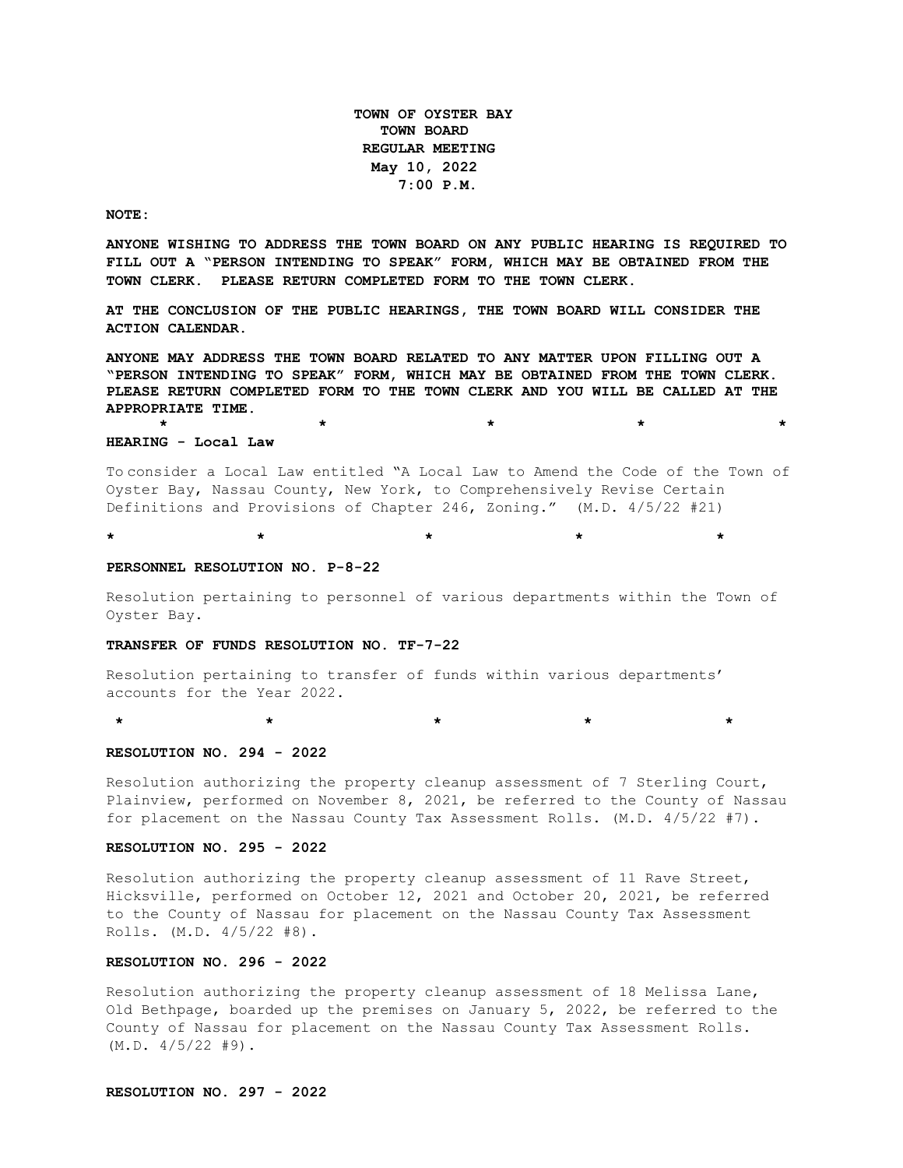**TOWN OF OYSTER BAY TOWN BOARD REGULAR MEETING May 10, 2022 7:00 P.M.** 

**NOTE:**

**ANYONE WISHING TO ADDRESS THE TOWN BOARD ON ANY PUBLIC HEARING IS REQUIRED TO FILL OUT A "PERSON INTENDING TO SPEAK" FORM, WHICH MAY BE OBTAINED FROM THE TOWN CLERK. PLEASE RETURN COMPLETED FORM TO THE TOWN CLERK.**

**AT THE CONCLUSION OF THE PUBLIC HEARINGS, THE TOWN BOARD WILL CONSIDER THE ACTION CALENDAR.**

**ANYONE MAY ADDRESS THE TOWN BOARD RELATED TO ANY MATTER UPON FILLING OUT A "PERSON INTENDING TO SPEAK" FORM, WHICH MAY BE OBTAINED FROM THE TOWN CLERK. PLEASE RETURN COMPLETED FORM TO THE TOWN CLERK AND YOU WILL BE CALLED AT THE APPROPRIATE TIME.**

#### **HEARING - Local Law**

To consider a Local Law entitled "A Local Law to Amend the Code of the Town of Oyster Bay, Nassau County, New York, to Comprehensively Revise Certain Definitions and Provisions of Chapter 246, Zoning." (M.D. 4/5/22 #21)

**\* \* \* \* \***

**\* \* \* \* \*** 

#### **PERSONNEL RESOLUTION NO. P-8-22**

Resolution pertaining to personnel of various departments within the Town of Oyster Bay.

#### **TRANSFER OF FUNDS RESOLUTION NO. TF-7-22**

Resolution pertaining to transfer of funds within various departments' accounts for the Year 2022.

**\* \* \* \* \***

**RESOLUTION NO. 294 - 2022**

Resolution authorizing the property cleanup assessment of 7 Sterling Court, Plainview, performed on November 8, 2021, be referred to the County of Nassau for placement on the Nassau County Tax Assessment Rolls. (M.D. 4/5/22 #7).

#### **RESOLUTION NO. 295 - 2022**

Resolution authorizing the property cleanup assessment of 11 Rave Street, Hicksville, performed on October 12, 2021 and October 20, 2021, be referred to the County of Nassau for placement on the Nassau County Tax Assessment Rolls. (M.D. 4/5/22 #8).

### **RESOLUTION NO. 296 - 2022**

Resolution authorizing the property cleanup assessment of 18 Melissa Lane, Old Bethpage, boarded up the premises on January 5, 2022, be referred to the County of Nassau for placement on the Nassau County Tax Assessment Rolls.  $(M.D. 4/5/22 #9).$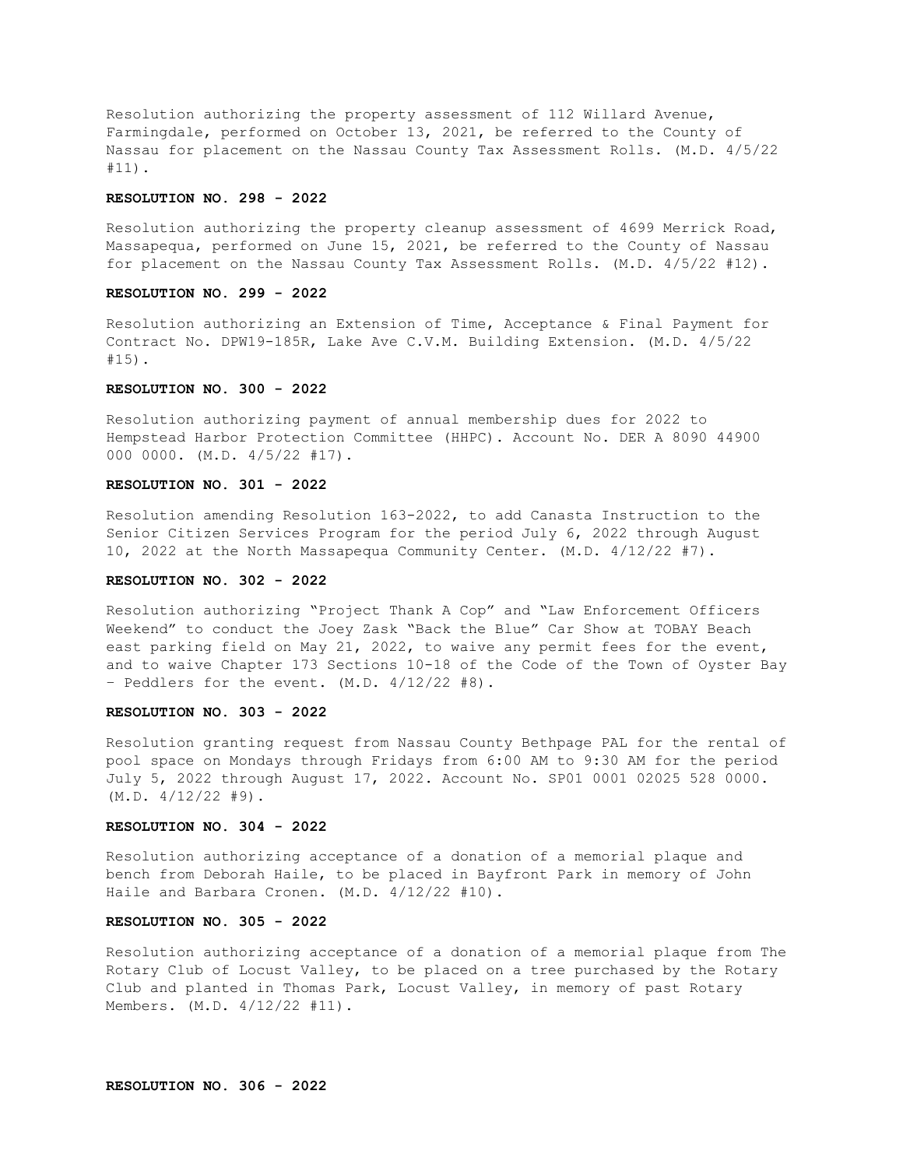Resolution authorizing the property assessment of 112 Willard Avenue, Farmingdale, performed on October 13, 2021, be referred to the County of Nassau for placement on the Nassau County Tax Assessment Rolls. (M.D. 4/5/22 #11).

### **RESOLUTION NO. 298 - 2022**

Resolution authorizing the property cleanup assessment of 4699 Merrick Road, Massapequa, performed on June 15, 2021, be referred to the County of Nassau for placement on the Nassau County Tax Assessment Rolls. (M.D. 4/5/22 #12).

## **RESOLUTION NO. 299 - 2022**

Resolution authorizing an Extension of Time, Acceptance & Final Payment for Contract No. DPW19-185R, Lake Ave C.V.M. Building Extension. (M.D. 4/5/22 #15).

# **RESOLUTION NO. 300 - 2022**

Resolution authorizing payment of annual membership dues for 2022 to Hempstead Harbor Protection Committee (HHPC). Account No. DER A 8090 44900 000 0000. (M.D. 4/5/22 #17).

# **RESOLUTION NO. 301 - 2022**

Resolution amending Resolution 163-2022, to add Canasta Instruction to the Senior Citizen Services Program for the period July 6, 2022 through August 10, 2022 at the North Massapequa Community Center. (M.D. 4/12/22 #7).

### **RESOLUTION NO. 302 - 2022**

Resolution authorizing "Project Thank A Cop" and "Law Enforcement Officers Weekend" to conduct the Joey Zask "Back the Blue" Car Show at TOBAY Beach east parking field on May 21, 2022, to waive any permit fees for the event, and to waive Chapter 173 Sections 10-18 of the Code of the Town of Oyster Bay – Peddlers for the event. (M.D. 4/12/22 #8).

#### **RESOLUTION NO. 303 - 2022**

Resolution granting request from Nassau County Bethpage PAL for the rental of pool space on Mondays through Fridays from 6:00 AM to 9:30 AM for the period July 5, 2022 through August 17, 2022. Account No. SP01 0001 02025 528 0000. (M.D. 4/12/22 #9).

# **RESOLUTION NO. 304 - 2022**

Resolution authorizing acceptance of a donation of a memorial plaque and bench from Deborah Haile, to be placed in Bayfront Park in memory of John Haile and Barbara Cronen. (M.D. 4/12/22 #10).

### **RESOLUTION NO. 305 - 2022**

Resolution authorizing acceptance of a donation of a memorial plaque from The Rotary Club of Locust Valley, to be placed on a tree purchased by the Rotary Club and planted in Thomas Park, Locust Valley, in memory of past Rotary Members. (M.D. 4/12/22 #11).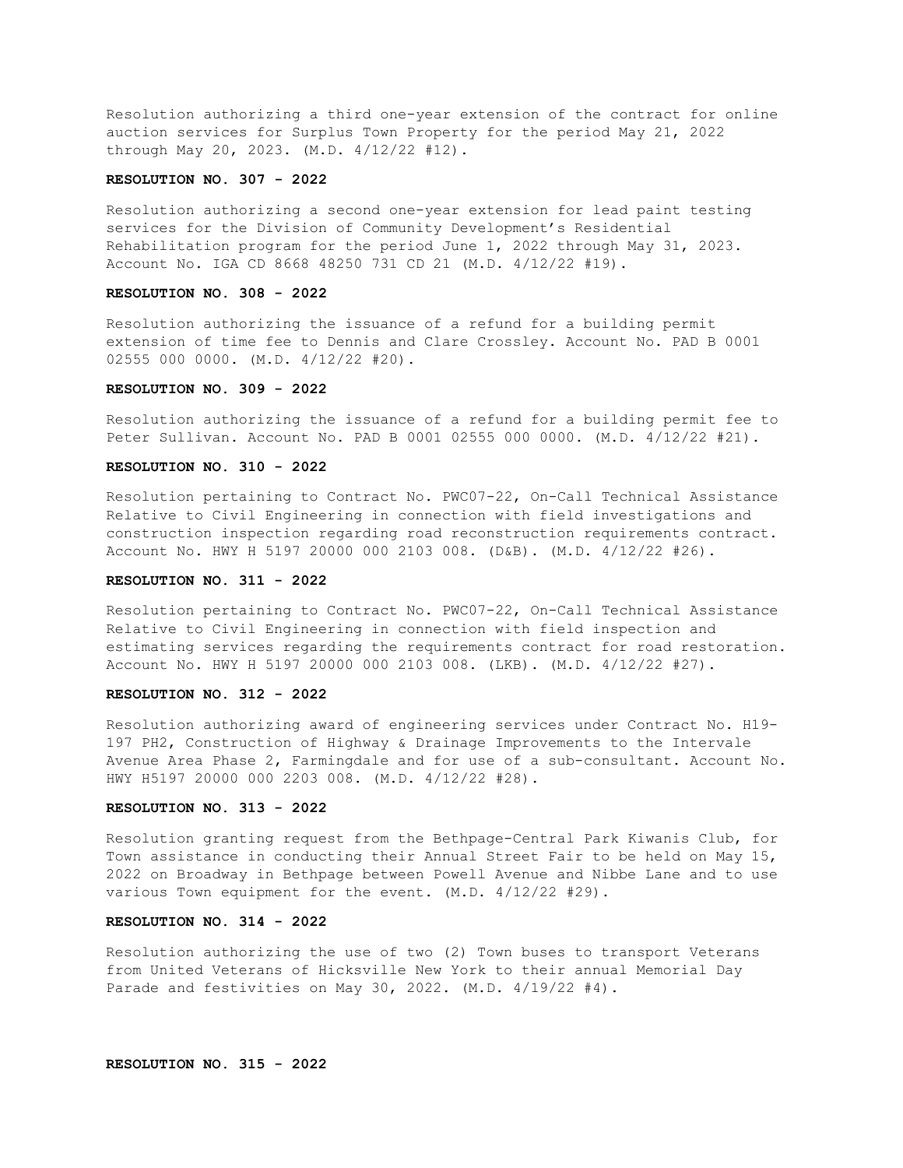Resolution authorizing a third one-year extension of the contract for online auction services for Surplus Town Property for the period May 21, 2022 through May 20, 2023. (M.D. 4/12/22 #12).

# **RESOLUTION NO. 307 - 2022**

Resolution authorizing a second one-year extension for lead paint testing services for the Division of Community Development's Residential Rehabilitation program for the period June 1, 2022 through May 31, 2023. Account No. IGA CD 8668 48250 731 CD 21 (M.D. 4/12/22 #19).

# **RESOLUTION NO. 308 - 2022**

Resolution authorizing the issuance of a refund for a building permit extension of time fee to Dennis and Clare Crossley. Account No. PAD B 0001 02555 000 0000. (M.D. 4/12/22 #20).

### **RESOLUTION NO. 309 - 2022**

Resolution authorizing the issuance of a refund for a building permit fee to Peter Sullivan. Account No. PAD B 0001 02555 000 0000. (M.D. 4/12/22 #21).

#### **RESOLUTION NO. 310 - 2022**

Resolution pertaining to Contract No. PWC07-22, On-Call Technical Assistance Relative to Civil Engineering in connection with field investigations and construction inspection regarding road reconstruction requirements contract. Account No. HWY H 5197 20000 000 2103 008. (D&B). (M.D. 4/12/22 #26).

# **RESOLUTION NO. 311 - 2022**

Resolution pertaining to Contract No. PWC07-22, On-Call Technical Assistance Relative to Civil Engineering in connection with field inspection and estimating services regarding the requirements contract for road restoration. Account No. HWY H 5197 20000 000 2103 008. (LKB). (M.D. 4/12/22 #27).

### **RESOLUTION NO. 312 - 2022**

Resolution authorizing award of engineering services under Contract No. H19- 197 PH2, Construction of Highway & Drainage Improvements to the Intervale Avenue Area Phase 2, Farmingdale and for use of a sub-consultant. Account No. HWY H5197 20000 000 2203 008. (M.D. 4/12/22 #28).

### **RESOLUTION NO. 313 - 2022**

Resolution granting request from the Bethpage-Central Park Kiwanis Club, for Town assistance in conducting their Annual Street Fair to be held on May 15, 2022 on Broadway in Bethpage between Powell Avenue and Nibbe Lane and to use various Town equipment for the event. (M.D. 4/12/22 #29).

### **RESOLUTION NO. 314 - 2022**

Resolution authorizing the use of two (2) Town buses to transport Veterans from United Veterans of Hicksville New York to their annual Memorial Day Parade and festivities on May 30, 2022. (M.D. 4/19/22 #4).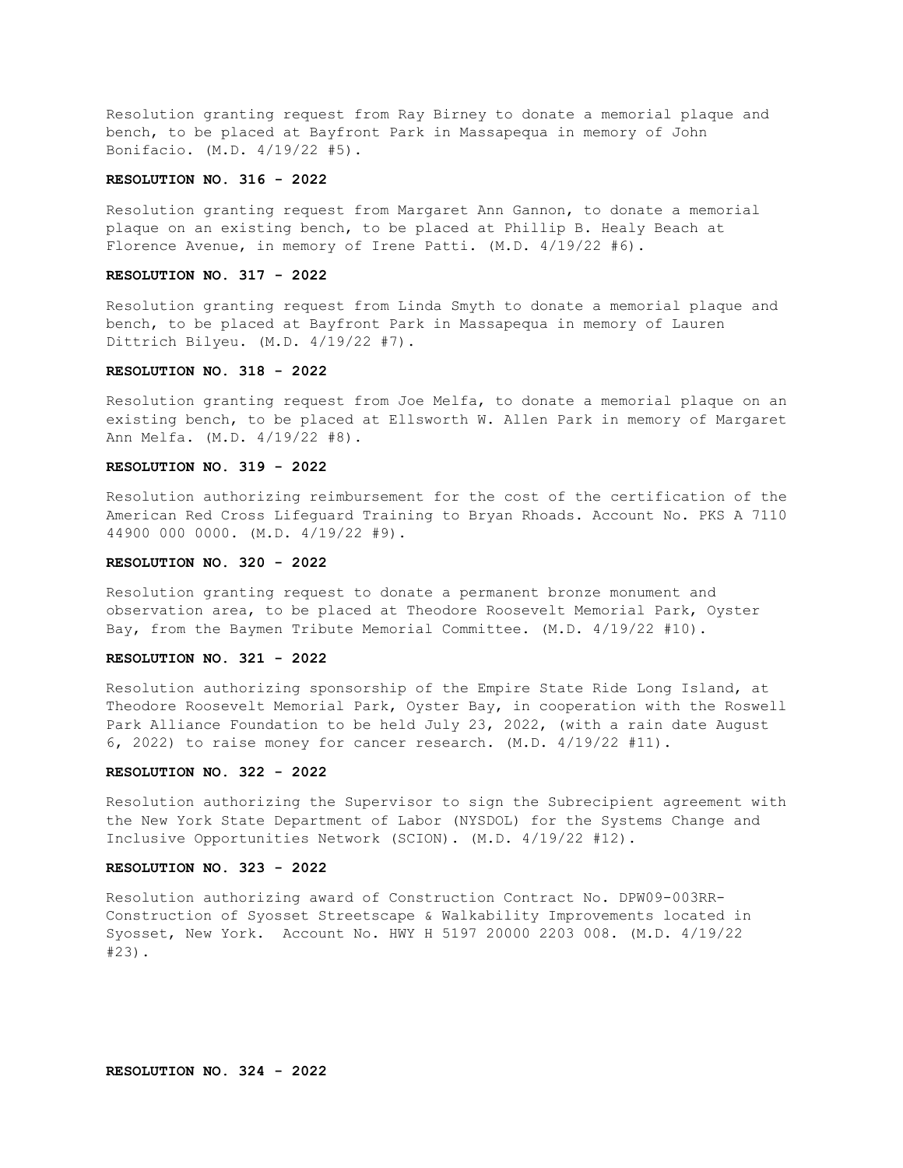Resolution granting request from Ray Birney to donate a memorial plaque and bench, to be placed at Bayfront Park in Massapequa in memory of John Bonifacio. (M.D. 4/19/22 #5).

# **RESOLUTION NO. 316 - 2022**

Resolution granting request from Margaret Ann Gannon, to donate a memorial plaque on an existing bench, to be placed at Phillip B. Healy Beach at Florence Avenue, in memory of Irene Patti. (M.D. 4/19/22 #6).

### **RESOLUTION NO. 317 - 2022**

Resolution granting request from Linda Smyth to donate a memorial plaque and bench, to be placed at Bayfront Park in Massapequa in memory of Lauren Dittrich Bilyeu. (M.D. 4/19/22 #7).

### **RESOLUTION NO. 318 - 2022**

Resolution granting request from Joe Melfa, to donate a memorial plaque on an existing bench, to be placed at Ellsworth W. Allen Park in memory of Margaret Ann Melfa. (M.D. 4/19/22 #8).

### **RESOLUTION NO. 319 - 2022**

Resolution authorizing reimbursement for the cost of the certification of the American Red Cross Lifeguard Training to Bryan Rhoads. Account No. PKS A 7110 44900 000 0000. (M.D. 4/19/22 #9).

### **RESOLUTION NO. 320 - 2022**

Resolution granting request to donate a permanent bronze monument and observation area, to be placed at Theodore Roosevelt Memorial Park, Oyster Bay, from the Baymen Tribute Memorial Committee. (M.D. 4/19/22 #10).

### **RESOLUTION NO. 321 - 2022**

Resolution authorizing sponsorship of the Empire State Ride Long Island, at Theodore Roosevelt Memorial Park, Oyster Bay, in cooperation with the Roswell Park Alliance Foundation to be held July 23, 2022, (with a rain date August 6, 2022) to raise money for cancer research. (M.D. 4/19/22 #11).

## **RESOLUTION NO. 322 - 2022**

Resolution authorizing the Supervisor to sign the Subrecipient agreement with the New York State Department of Labor (NYSDOL) for the Systems Change and Inclusive Opportunities Network (SCION). (M.D. 4/19/22 #12).

### **RESOLUTION NO. 323 - 2022**

Resolution authorizing award of Construction Contract No. DPW09-003RR-Construction of Syosset Streetscape & Walkability Improvements located in Syosset, New York. Account No. HWY H 5197 20000 2203 008. (M.D. 4/19/22 #23).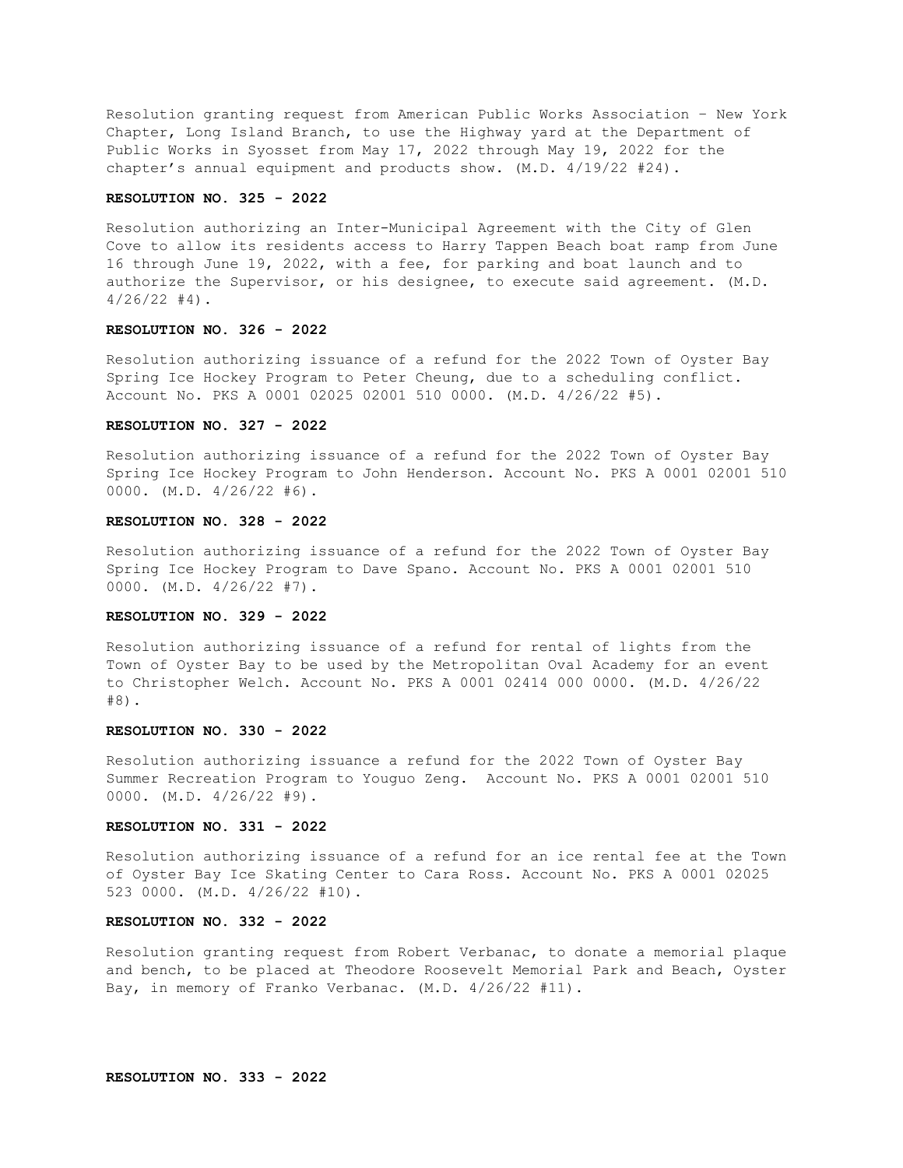Resolution granting request from American Public Works Association – New York Chapter, Long Island Branch, to use the Highway yard at the Department of Public Works in Syosset from May 17, 2022 through May 19, 2022 for the chapter's annual equipment and products show. (M.D. 4/19/22 #24).

### **RESOLUTION NO. 325 - 2022**

Resolution authorizing an Inter-Municipal Agreement with the City of Glen Cove to allow its residents access to Harry Tappen Beach boat ramp from June 16 through June 19, 2022, with a fee, for parking and boat launch and to authorize the Supervisor, or his designee, to execute said agreement. (M.D.  $4/26/22$  #4).

## **RESOLUTION NO. 326 - 2022**

Resolution authorizing issuance of a refund for the 2022 Town of Oyster Bay Spring Ice Hockey Program to Peter Cheung, due to a scheduling conflict. Account No. PKS A 0001 02025 02001 510 0000. (M.D. 4/26/22 #5).

### **RESOLUTION NO. 327 - 2022**

Resolution authorizing issuance of a refund for the 2022 Town of Oyster Bay Spring Ice Hockey Program to John Henderson. Account No. PKS A 0001 02001 510 0000. (M.D. 4/26/22 #6).

# **RESOLUTION NO. 328 - 2022**

Resolution authorizing issuance of a refund for the 2022 Town of Oyster Bay Spring Ice Hockey Program to Dave Spano. Account No. PKS A 0001 02001 510 0000. (M.D. 4/26/22 #7).

### **RESOLUTION NO. 329 - 2022**

Resolution authorizing issuance of a refund for rental of lights from the Town of Oyster Bay to be used by the Metropolitan Oval Academy for an event to Christopher Welch. Account No. PKS A 0001 02414 000 0000. (M.D. 4/26/22 #8).

## **RESOLUTION NO. 330 - 2022**

Resolution authorizing issuance a refund for the 2022 Town of Oyster Bay Summer Recreation Program to Youguo Zeng. Account No. PKS A 0001 02001 510 0000. (M.D. 4/26/22 #9).

# **RESOLUTION NO. 331 - 2022**

Resolution authorizing issuance of a refund for an ice rental fee at the Town of Oyster Bay Ice Skating Center to Cara Ross. Account No. PKS A 0001 02025 523 0000. (M.D. 4/26/22 #10).

### **RESOLUTION NO. 332 - 2022**

Resolution granting request from Robert Verbanac, to donate a memorial plaque and bench, to be placed at Theodore Roosevelt Memorial Park and Beach, Oyster Bay, in memory of Franko Verbanac. (M.D. 4/26/22 #11).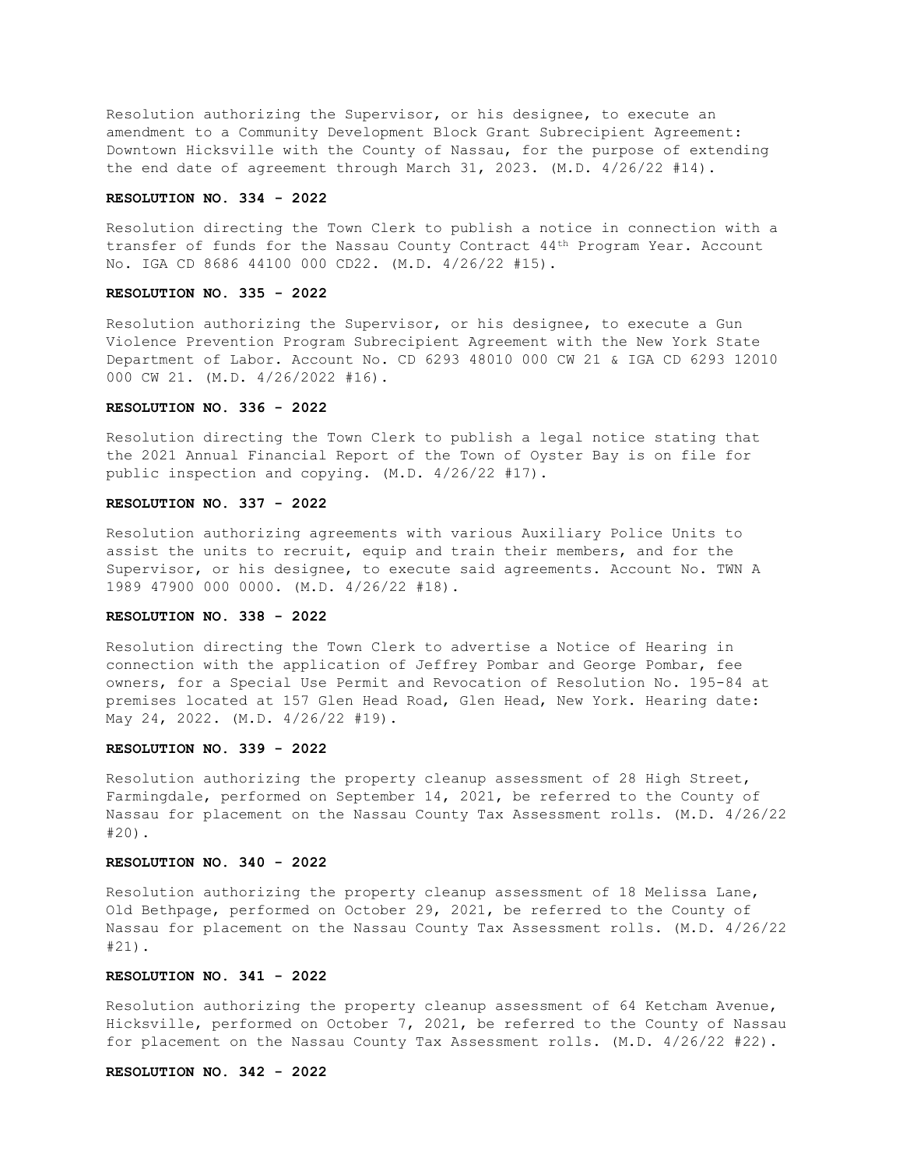Resolution authorizing the Supervisor, or his designee, to execute an amendment to a Community Development Block Grant Subrecipient Agreement: Downtown Hicksville with the County of Nassau, for the purpose of extending the end date of agreement through March 31, 2023. (M.D. 4/26/22 #14).

#### **RESOLUTION NO. 334 - 2022**

Resolution directing the Town Clerk to publish a notice in connection with a transfer of funds for the Nassau County Contract 44th Program Year. Account No. IGA CD 8686 44100 000 CD22. (M.D. 4/26/22 #15).

## **RESOLUTION NO. 335 - 2022**

Resolution authorizing the Supervisor, or his designee, to execute a Gun Violence Prevention Program Subrecipient Agreement with the New York State Department of Labor. Account No. CD 6293 48010 000 CW 21 & IGA CD 6293 12010 000 CW 21. (M.D. 4/26/2022 #16).

# **RESOLUTION NO. 336 - 2022**

Resolution directing the Town Clerk to publish a legal notice stating that the 2021 Annual Financial Report of the Town of Oyster Bay is on file for public inspection and copying. (M.D. 4/26/22 #17).

# **RESOLUTION NO. 337 - 2022**

Resolution authorizing agreements with various Auxiliary Police Units to assist the units to recruit, equip and train their members, and for the Supervisor, or his designee, to execute said agreements. Account No. TWN A 1989 47900 000 0000. (M.D. 4/26/22 #18).

# **RESOLUTION NO. 338 - 2022**

Resolution directing the Town Clerk to advertise a Notice of Hearing in connection with the application of Jeffrey Pombar and George Pombar, fee owners, for a Special Use Permit and Revocation of Resolution No. 195-84 at premises located at 157 Glen Head Road, Glen Head, New York. Hearing date: May 24, 2022. (M.D. 4/26/22 #19).

### **RESOLUTION NO. 339 - 2022**

Resolution authorizing the property cleanup assessment of 28 High Street, Farmingdale, performed on September 14, 2021, be referred to the County of Nassau for placement on the Nassau County Tax Assessment rolls. (M.D. 4/26/22 #20).

## **RESOLUTION NO. 340 - 2022**

Resolution authorizing the property cleanup assessment of 18 Melissa Lane, Old Bethpage, performed on October 29, 2021, be referred to the County of Nassau for placement on the Nassau County Tax Assessment rolls. (M.D. 4/26/22 #21).

### **RESOLUTION NO. 341 - 2022**

Resolution authorizing the property cleanup assessment of 64 Ketcham Avenue, Hicksville, performed on October 7, 2021, be referred to the County of Nassau for placement on the Nassau County Tax Assessment rolls. (M.D. 4/26/22 #22).

# **RESOLUTION NO. 342 - 2022**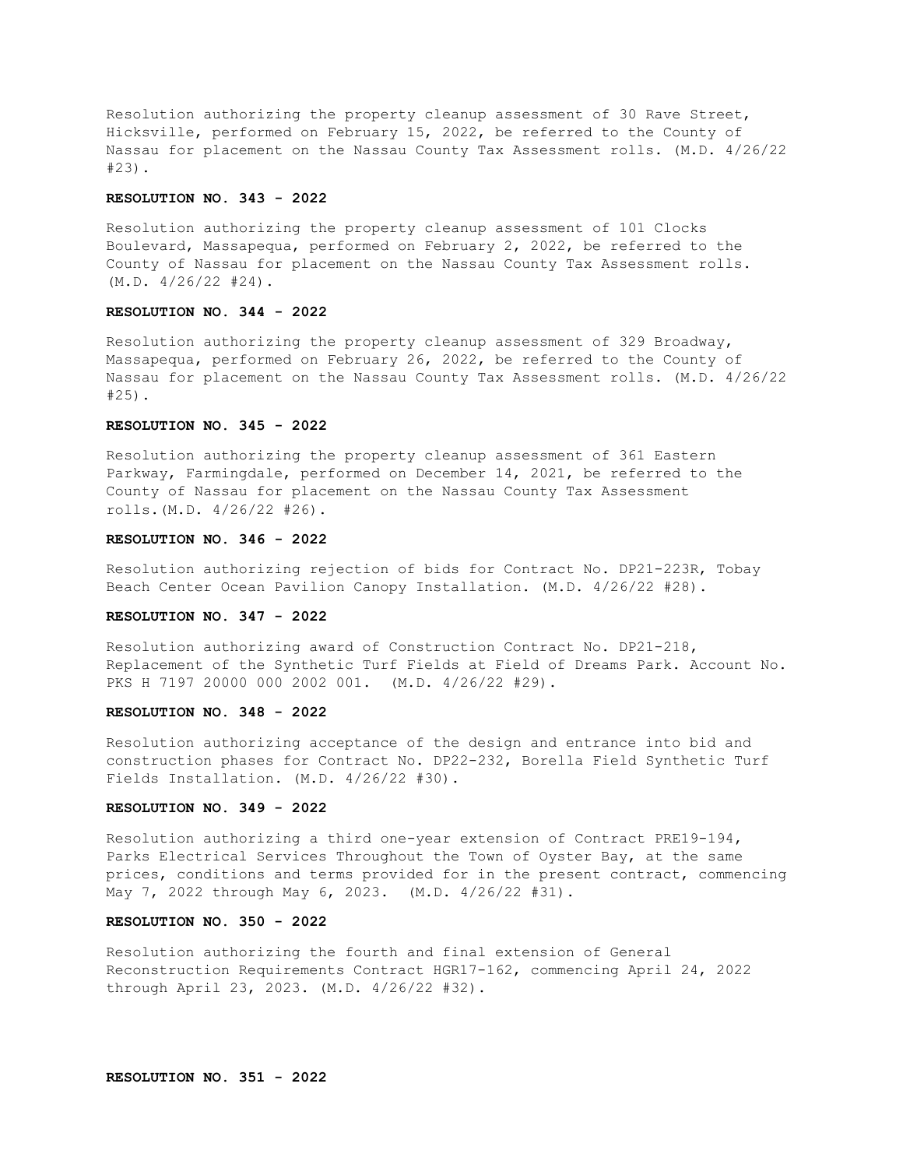Resolution authorizing the property cleanup assessment of 30 Rave Street, Hicksville, performed on February 15, 2022, be referred to the County of Nassau for placement on the Nassau County Tax Assessment rolls. (M.D. 4/26/22 #23).

### **RESOLUTION NO. 343 - 2022**

Resolution authorizing the property cleanup assessment of 101 Clocks Boulevard, Massapequa, performed on February 2, 2022, be referred to the County of Nassau for placement on the Nassau County Tax Assessment rolls. (M.D. 4/26/22 #24).

### **RESOLUTION NO. 344 - 2022**

Resolution authorizing the property cleanup assessment of 329 Broadway, Massapequa, performed on February 26, 2022, be referred to the County of Nassau for placement on the Nassau County Tax Assessment rolls. (M.D. 4/26/22 #25).

### **RESOLUTION NO. 345 - 2022**

Resolution authorizing the property cleanup assessment of 361 Eastern Parkway, Farmingdale, performed on December 14, 2021, be referred to the County of Nassau for placement on the Nassau County Tax Assessment rolls.(M.D. 4/26/22 #26).

# **RESOLUTION NO. 346 - 2022**

Resolution authorizing rejection of bids for Contract No. DP21-223R, Tobay Beach Center Ocean Pavilion Canopy Installation. (M.D. 4/26/22 #28).

# **RESOLUTION NO. 347 - 2022**

Resolution authorizing award of Construction Contract No. DP21-218, Replacement of the Synthetic Turf Fields at Field of Dreams Park. Account No. PKS H 7197 20000 000 2002 001. (M.D. 4/26/22 #29).

#### **RESOLUTION NO. 348 - 2022**

Resolution authorizing acceptance of the design and entrance into bid and construction phases for Contract No. DP22-232, Borella Field Synthetic Turf Fields Installation. (M.D. 4/26/22 #30).

### **RESOLUTION NO. 349 - 2022**

Resolution authorizing a third one-year extension of Contract PRE19-194, Parks Electrical Services Throughout the Town of Oyster Bay, at the same prices, conditions and terms provided for in the present contract, commencing May 7, 2022 through May 6, 2023. (M.D. 4/26/22 #31).

### **RESOLUTION NO. 350 - 2022**

Resolution authorizing the fourth and final extension of General Reconstruction Requirements Contract HGR17-162, commencing April 24, 2022 through April 23, 2023. (M.D. 4/26/22 #32).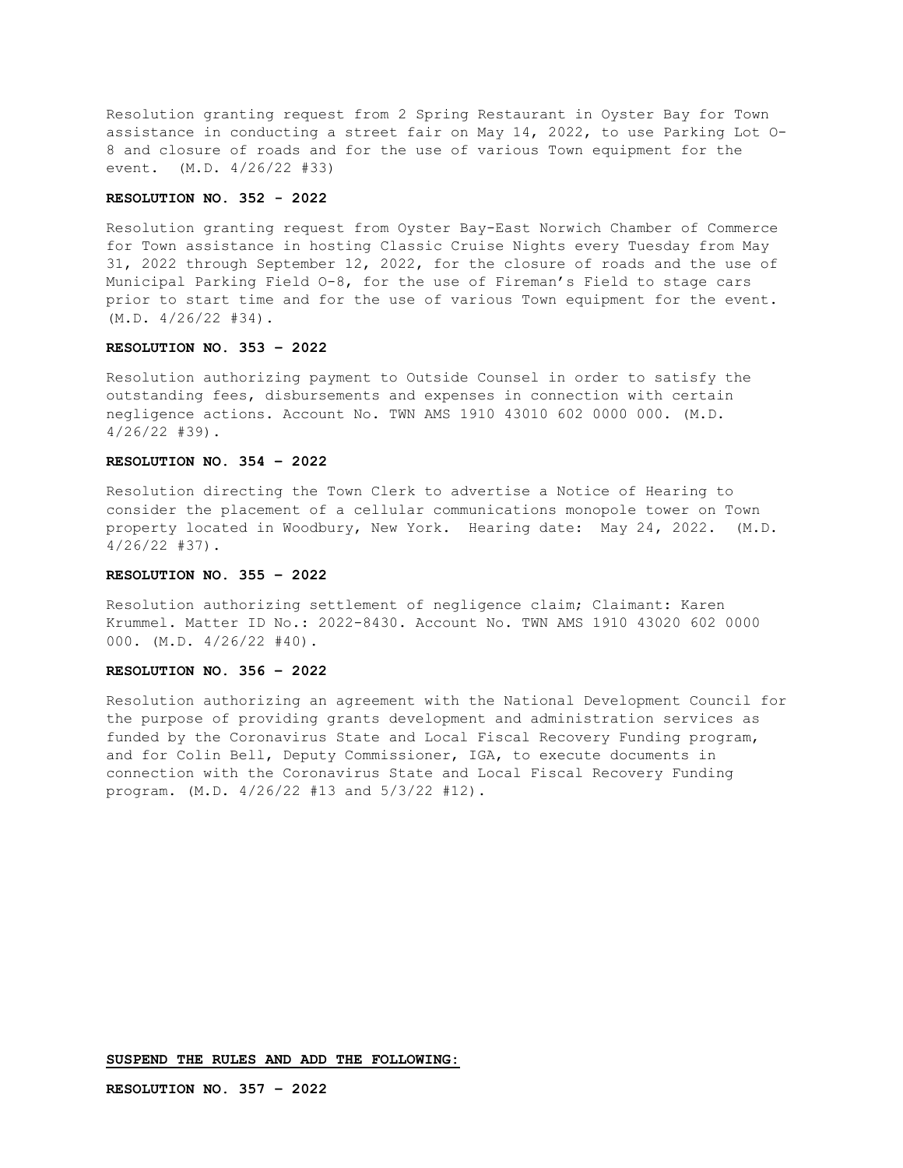Resolution granting request from 2 Spring Restaurant in Oyster Bay for Town assistance in conducting a street fair on May 14, 2022, to use Parking Lot O-8 and closure of roads and for the use of various Town equipment for the event. (M.D. 4/26/22 #33)

### **RESOLUTION NO. 352 - 2022**

Resolution granting request from Oyster Bay-East Norwich Chamber of Commerce for Town assistance in hosting Classic Cruise Nights every Tuesday from May 31, 2022 through September 12, 2022, for the closure of roads and the use of Municipal Parking Field O-8, for the use of Fireman's Field to stage cars prior to start time and for the use of various Town equipment for the event. (M.D. 4/26/22 #34).

## **RESOLUTION NO. 353 – 2022**

Resolution authorizing payment to Outside Counsel in order to satisfy the outstanding fees, disbursements and expenses in connection with certain negligence actions. Account No. TWN AMS 1910 43010 602 0000 000. (M.D. 4/26/22 #39).

# **RESOLUTION NO. 354 – 2022**

Resolution directing the Town Clerk to advertise a Notice of Hearing to consider the placement of a cellular communications monopole tower on Town property located in Woodbury, New York. Hearing date: May 24, 2022. (M.D. 4/26/22 #37).

# **RESOLUTION NO. 355 – 2022**

Resolution authorizing settlement of negligence claim; Claimant: Karen Krummel. Matter ID No.: 2022-8430. Account No. TWN AMS 1910 43020 602 0000 000. (M.D. 4/26/22 #40).

### **RESOLUTION NO. 356 – 2022**

Resolution authorizing an agreement with the National Development Council for the purpose of providing grants development and administration services as funded by the Coronavirus State and Local Fiscal Recovery Funding program, and for Colin Bell, Deputy Commissioner, IGA, to execute documents in connection with the Coronavirus State and Local Fiscal Recovery Funding program. (M.D. 4/26/22 #13 and 5/3/22 #12).